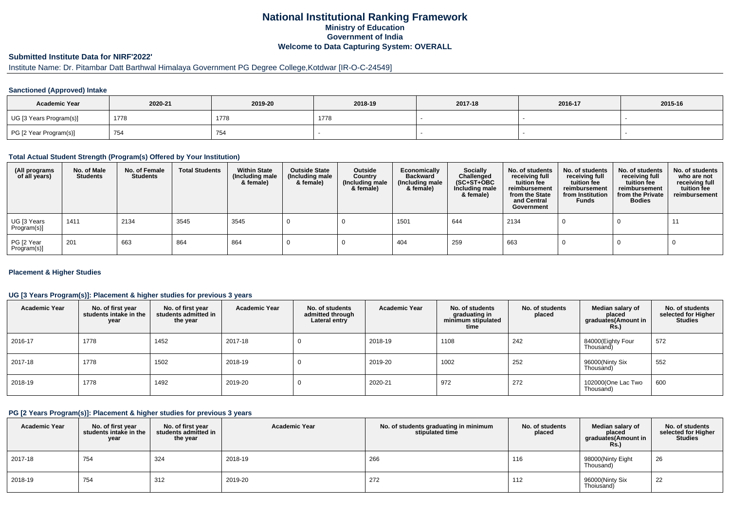### **National Institutional Ranking FrameworkMinistry of Education Government of IndiaWelcome to Data Capturing System: OVERALL**

## **Submitted Institute Data for NIRF'2022'**

## Institute Name: Dr. Pitambar Datt Barthwal Himalaya Government PG Degree College,Kotdwar [IR-O-C-24549]

#### **Sanctioned (Approved) Intake**

| <b>Academic Year</b>    | 2020-21 | 2019-20 | 2018-19 | 2017-18 | 2016-17 | 2015-16 |
|-------------------------|---------|---------|---------|---------|---------|---------|
| UG [3 Years Program(s)] | 1778    | 1778    | 1778    |         |         |         |
| PG [2 Year Program(s)]  | 754     | 754     |         |         |         |         |

#### **Total Actual Student Strength (Program(s) Offered by Your Institution)**

| (All programs<br>of all years) | No. of Male<br><b>Students</b> | No. of Female<br><b>Students</b> | <b>Total Students</b> | <b>Within State</b><br>(Including male<br>& female) | <b>Outside State</b><br>(Including male<br>& female) | <b>Outside</b><br>Country<br>(Including male<br>& female) | Economically<br><b>Backward</b><br>(Including male<br>& female) | Socially<br>Challenged<br>$(SC+ST+OBC)$<br>Including male<br>& female) | No. of students<br>receiving full<br>tuition fee<br>reimbursement<br>from the State<br>and Central<br>Government | No. of students<br>receiving full<br>tuition fee<br>reimbursement<br>from Institution<br><b>Funds</b> | No. of students<br>receiving full<br>tuition fee<br>reimbursement<br>from the Private<br><b>Bodies</b> | No. of students<br>who are not<br>receiving full<br>tuition fee<br>reimbursement |
|--------------------------------|--------------------------------|----------------------------------|-----------------------|-----------------------------------------------------|------------------------------------------------------|-----------------------------------------------------------|-----------------------------------------------------------------|------------------------------------------------------------------------|------------------------------------------------------------------------------------------------------------------|-------------------------------------------------------------------------------------------------------|--------------------------------------------------------------------------------------------------------|----------------------------------------------------------------------------------|
| UG [3 Years<br>Program(s)]     | 1411                           | 2134                             | 3545                  | 3545                                                |                                                      |                                                           | 1501                                                            | 644                                                                    | 2134                                                                                                             |                                                                                                       |                                                                                                        | -11                                                                              |
| PG [2 Year<br>Program(s)]      | 201                            | 663                              | 864                   | 864                                                 |                                                      |                                                           | 404                                                             | 259                                                                    | 663                                                                                                              |                                                                                                       |                                                                                                        |                                                                                  |

#### **Placement & Higher Studies**

#### **UG [3 Years Program(s)]: Placement & higher studies for previous 3 years**

| <b>Academic Year</b> | No. of first year<br>students intake in the<br>year | No. of first year<br>students admitted in<br>the year | <b>Academic Year</b> | No. of students<br>admitted through<br>Lateral entry | <b>Academic Year</b> | No. of students<br>graduating in<br>minimum stipulated<br>time | No. of students<br>placed | Median salary of<br>placed<br>graduates(Amount in<br>Rs.) | No. of students<br>selected for Higher<br><b>Studies</b> |
|----------------------|-----------------------------------------------------|-------------------------------------------------------|----------------------|------------------------------------------------------|----------------------|----------------------------------------------------------------|---------------------------|-----------------------------------------------------------|----------------------------------------------------------|
| 2016-17              | 1778                                                | 1452                                                  | 2017-18              | υ                                                    | 2018-19              | 1108                                                           | 242                       | 84000(Eighty Four<br>Thousand)                            | 572                                                      |
| 2017-18              | 1778                                                | 1502                                                  | 2018-19              | υ                                                    | 2019-20              | 1002                                                           | 252                       | 96000(Ninty Six<br>Thousand)                              | 552                                                      |
| 2018-19              | 1778                                                | 1492                                                  | 2019-20              | O                                                    | 2020-21              | 972                                                            | 272                       | 102000(One Lac Two<br>Thousand)                           | 600                                                      |

#### **PG [2 Years Program(s)]: Placement & higher studies for previous 3 years**

| <b>Academic Year</b> | No. of first year<br>students intake in the<br>year | No. of first vear<br>students admitted in<br>the year | <b>Academic Year</b> | No. of students graduating in minimum<br>stipulated time | No. of students<br>placed | Median salary of<br>placed<br>graduates(Amount in<br><b>Rs.)</b> | No. of students<br>selected for Higher<br><b>Studies</b> |
|----------------------|-----------------------------------------------------|-------------------------------------------------------|----------------------|----------------------------------------------------------|---------------------------|------------------------------------------------------------------|----------------------------------------------------------|
| 2017-18              | 754                                                 | 324                                                   | 2018-19              | 266                                                      | 116                       | 98000(Ninty Eight<br>Thousand)                                   | 26                                                       |
| 2018-19              | 754                                                 | 312                                                   | 2019-20              | 272                                                      | 112                       | 96000(Ninty Six<br>Thoiusand)                                    | 22                                                       |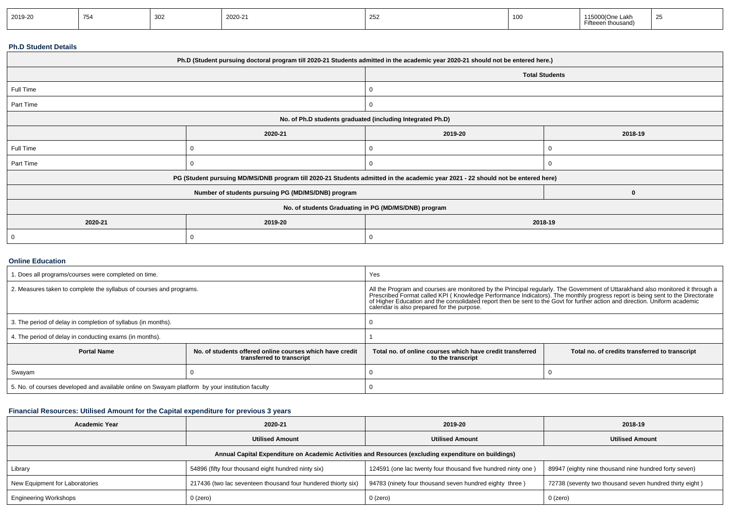| 2019-20 | 754 |  | 2020-21 | $\sim$<br>້ | <b>100</b> | $\sim$<br>.e Lani<br><b>Fifteeen thousand)</b> | $\sim$ |
|---------|-----|--|---------|-------------|------------|------------------------------------------------|--------|
|---------|-----|--|---------|-------------|------------|------------------------------------------------|--------|

### **Ph.D Student Details**

| Ph.D (Student pursuing doctoral program till 2020-21 Students admitted in the academic year 2020-21 should not be entered here.) |                                                                                                                                  |         |                       |  |  |  |  |
|----------------------------------------------------------------------------------------------------------------------------------|----------------------------------------------------------------------------------------------------------------------------------|---------|-----------------------|--|--|--|--|
|                                                                                                                                  |                                                                                                                                  |         | <b>Total Students</b> |  |  |  |  |
| Full Time                                                                                                                        |                                                                                                                                  | O       |                       |  |  |  |  |
| Part Time                                                                                                                        |                                                                                                                                  | 0       |                       |  |  |  |  |
| No. of Ph.D students graduated (including Integrated Ph.D)                                                                       |                                                                                                                                  |         |                       |  |  |  |  |
|                                                                                                                                  | 2020-21                                                                                                                          | 2019-20 | 2018-19               |  |  |  |  |
| Full Time                                                                                                                        |                                                                                                                                  |         |                       |  |  |  |  |
| Part Time                                                                                                                        |                                                                                                                                  |         |                       |  |  |  |  |
|                                                                                                                                  | PG (Student pursuing MD/MS/DNB program till 2020-21 Students admitted in the academic year 2021 - 22 should not be entered here) |         |                       |  |  |  |  |
|                                                                                                                                  | Number of students pursuing PG (MD/MS/DNB) program                                                                               |         |                       |  |  |  |  |
|                                                                                                                                  | No. of students Graduating in PG (MD/MS/DNB) program                                                                             |         |                       |  |  |  |  |
| 2020-21                                                                                                                          | 2019-20                                                                                                                          | 2018-19 |                       |  |  |  |  |
|                                                                                                                                  |                                                                                                                                  |         |                       |  |  |  |  |

#### **Online Education**

| . Does all programs/courses were completed on time.                                             |                                                                                       | Yes                                                                                                                                                                                                                                                                                                                                                                                                            |                                                |  |
|-------------------------------------------------------------------------------------------------|---------------------------------------------------------------------------------------|----------------------------------------------------------------------------------------------------------------------------------------------------------------------------------------------------------------------------------------------------------------------------------------------------------------------------------------------------------------------------------------------------------------|------------------------------------------------|--|
| 2. Measures taken to complete the syllabus of courses and programs.                             |                                                                                       | All the Program and courses are monitored by the Principal regularly. The Government of Uttarakhand also monitored it through a<br>Prescribed Format called KPI (Knowledge Performance Indicators). The monthly progress report is being sent to the Directorate of Higher Education and the consolidated report then be sent to the Govt for further action and<br>calendar is also prepared for the purpose. |                                                |  |
| 3. The period of delay in completion of syllabus (in months).                                   |                                                                                       |                                                                                                                                                                                                                                                                                                                                                                                                                |                                                |  |
| 4. The period of delay in conducting exams (in months).                                         |                                                                                       |                                                                                                                                                                                                                                                                                                                                                                                                                |                                                |  |
| <b>Portal Name</b>                                                                              | No, of students offered online courses which have credit<br>transferred to transcript | Total no, of online courses which have credit transferred<br>to the transcript                                                                                                                                                                                                                                                                                                                                 | Total no. of credits transferred to transcript |  |
| Swayam                                                                                          |                                                                                       |                                                                                                                                                                                                                                                                                                                                                                                                                |                                                |  |
| 5. No. of courses developed and available online on Swayam platform by your institution faculty |                                                                                       |                                                                                                                                                                                                                                                                                                                                                                                                                |                                                |  |

## **Financial Resources: Utilised Amount for the Capital expenditure for previous 3 years**

| <b>Academic Year</b>                                                                                 | 2020-21                                                       | 2019-20                                                      | 2018-19                                                 |  |  |  |  |  |
|------------------------------------------------------------------------------------------------------|---------------------------------------------------------------|--------------------------------------------------------------|---------------------------------------------------------|--|--|--|--|--|
|                                                                                                      | <b>Utilised Amount</b>                                        | <b>Utilised Amount</b>                                       | <b>Utilised Amount</b>                                  |  |  |  |  |  |
| Annual Capital Expenditure on Academic Activities and Resources (excluding expenditure on buildings) |                                                               |                                                              |                                                         |  |  |  |  |  |
| Library                                                                                              | 54896 (fifty four thousand eight hundred ninty six)           | 124591 (one lac twenty four thousand five hundred ninty one) | 89947 (eighty nine thousand nine hundred forty seven)   |  |  |  |  |  |
| New Equipment for Laboratories                                                                       | 217436 (two lac seventeen thousand four hundered thiorty six) | 94783 (ninety four thousand seven hundred eighty three)      | 72738 (seventy two thousand seven hundred thirty eight) |  |  |  |  |  |
| <b>Engineering Workshops</b>                                                                         | 0 (zero)                                                      | $0$ (zero)                                                   | 0 (zero)                                                |  |  |  |  |  |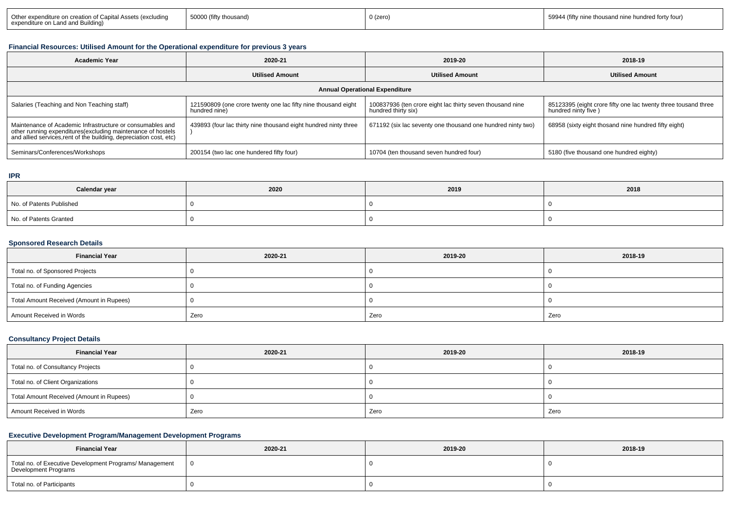### **Financial Resources: Utilised Amount for the Operational expenditure for previous 3 years**

| <b>Academic Year</b>                                                                                                                                                                           | 2020-21                                                                        | 2019-20                                                                          | 2018-19                                                                               |  |  |  |  |  |
|------------------------------------------------------------------------------------------------------------------------------------------------------------------------------------------------|--------------------------------------------------------------------------------|----------------------------------------------------------------------------------|---------------------------------------------------------------------------------------|--|--|--|--|--|
|                                                                                                                                                                                                | <b>Utilised Amount</b>                                                         | <b>Utilised Amount</b>                                                           | <b>Utilised Amount</b>                                                                |  |  |  |  |  |
| <b>Annual Operational Expenditure</b>                                                                                                                                                          |                                                                                |                                                                                  |                                                                                       |  |  |  |  |  |
| Salaries (Teaching and Non Teaching staff)                                                                                                                                                     | 121590809 (one crore twenty one lac fifty nine thousand eight<br>hundred nine) | 100837936 (ten crore eight lac thirty seven thousand nine<br>hundred thirty six) | 85123395 (eight crore fifty one lac twenty three tousand three<br>hundred ninty five) |  |  |  |  |  |
| Maintenance of Academic Infrastructure or consumables and<br>other running expenditures(excluding maintenance of hostels<br>and allied services, rent of the building, depreciation cost, etc) | 439893 (four lac thirty nine thousand eight hundred ninty three                | 671192 (six lac seventy one thousand one hundred ninty two)                      | 68958 (sixty eight thosand nine hundred fifty eight)                                  |  |  |  |  |  |
| Seminars/Conferences/Workshops                                                                                                                                                                 | 200154 (two lac one hundered fifty four)                                       | 10704 (ten thousand seven hundred four)                                          | 5180 (five thousand one hundred eighty)                                               |  |  |  |  |  |

#### **IPR**

| Calendar year            | 2020 | 2019 | 2018 |
|--------------------------|------|------|------|
| No. of Patents Published |      |      |      |
| No. of Patents Granted   |      |      |      |

# **Sponsored Research Details**

| <b>Financial Year</b>                    | 2020-21 | 2019-20 | 2018-19 |
|------------------------------------------|---------|---------|---------|
| Total no. of Sponsored Projects          |         |         |         |
| Total no. of Funding Agencies            |         |         |         |
| Total Amount Received (Amount in Rupees) |         |         |         |
| Amount Received in Words                 | Zero    | Zero    | Zero    |

### **Consultancy Project Details**

| <b>Financial Year</b>                    | 2020-21 | 2019-20 | 2018-19 |
|------------------------------------------|---------|---------|---------|
| Total no. of Consultancy Projects        |         |         |         |
| Total no. of Client Organizations        |         |         |         |
| Total Amount Received (Amount in Rupees) |         |         |         |
| Amount Received in Words                 | Zero    | Zero    | Zero    |

# **Executive Development Program/Management Development Programs**

| <b>Financial Year</b>                                                           | 2020-21 | 2019-20 | 2018-19 |
|---------------------------------------------------------------------------------|---------|---------|---------|
| Total no. of Executive Development Programs/ Management<br>Development Programs |         |         |         |
| Total no. of Participants                                                       |         |         |         |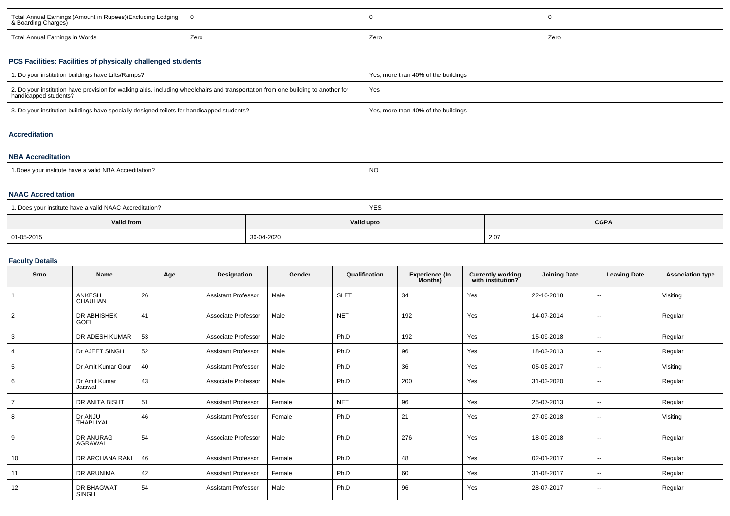| Total Annual Earnings (Amount in Rupees)(Excluding Lodging<br>& Boarding Charges) |      |      |      |
|-----------------------------------------------------------------------------------|------|------|------|
| Total Annual Earnings in Words                                                    | Zero | Zero | Zero |

### **PCS Facilities: Facilities of physically challenged students**

| 1. Do your institution buildings have Lifts/Ramps?                                                                                                         | Yes, more than 40% of the buildings |
|------------------------------------------------------------------------------------------------------------------------------------------------------------|-------------------------------------|
| 2. Do your institution have provision for walking aids, including wheelchairs and transportation from one building to another for<br>handicapped students? | Yes                                 |
| 3. Do your institution buildings have specially designed toilets for handicapped students?                                                                 | Yes, more than 40% of the buildings |

### **Accreditation**

#### **NBA Accreditation**

| institute have a valid NBA Accreditation?<br><b>NO</b><br>1. Does your in. |
|----------------------------------------------------------------------------|
|----------------------------------------------------------------------------|

#### **NAAC Accreditation**

| <sup>1</sup> 1. Does your institute have a valid NAAC Accreditation? | <b>YES</b> |             |
|----------------------------------------------------------------------|------------|-------------|
| Valid from                                                           | Valid upto | <b>CGPA</b> |
| 01-05-2015                                                           | 30-04-2020 | 2.07        |

#### **Faculty Details**

| Srno            | Name                              | Age | Designation                | Gender | Qualification | <b>Experience (In</b><br>Months) | <b>Currently working</b><br>with institution? | <b>Joining Date</b> | <b>Leaving Date</b>      | <b>Association type</b> |
|-----------------|-----------------------------------|-----|----------------------------|--------|---------------|----------------------------------|-----------------------------------------------|---------------------|--------------------------|-------------------------|
| $\overline{1}$  | <b>ANKESH</b><br>CHAUHAN          | 26  | <b>Assistant Professor</b> | Male   | <b>SLET</b>   | 34                               | Yes                                           | 22-10-2018          | $\overline{\phantom{a}}$ | Visiting                |
| $\overline{2}$  | <b>DR ABHISHEK</b><br>GOEL        | 41  | Associate Professor        | Male   | <b>NET</b>    | 192                              | Yes                                           | 14-07-2014          | $\overline{\phantom{a}}$ | Regular                 |
| 3               | DR ADESH KUMAR                    | 53  | Associate Professor        | Male   | Ph.D          | 192                              | Yes                                           | 15-09-2018          | $\overline{\phantom{a}}$ | Regular                 |
| $\overline{4}$  | Dr AJEET SINGH                    | 52  | <b>Assistant Professor</b> | Male   | Ph.D          | 96                               | Yes                                           | 18-03-2013          | $\sim$                   | Regular                 |
| $5\phantom{.0}$ | Dr Amit Kumar Gour                | 40  | <b>Assistant Professor</b> | Male   | Ph.D          | 36                               | Yes                                           | 05-05-2017          | $\overline{\phantom{a}}$ | Visiting                |
| 6               | Dr Amit Kumar<br>Jaiswal          | 43  | Associate Professor        | Male   | Ph.D          | 200                              | Yes                                           | 31-03-2020          | $\sim$                   | Regular                 |
| $\overline{7}$  | DR ANITA BISHT                    | 51  | <b>Assistant Professor</b> | Female | <b>NET</b>    | 96                               | Yes                                           | 25-07-2013          | $\overline{\phantom{a}}$ | Regular                 |
| 8               | Dr ANJU<br><b>THAPLIYAL</b>       | 46  | <b>Assistant Professor</b> | Female | Ph.D          | 21                               | Yes                                           | 27-09-2018          | $\overline{\phantom{a}}$ | Visiting                |
| 9               | DR ANURAG<br>AGRAWAL              | 54  | Associate Professor        | Male   | Ph.D          | 276                              | Yes                                           | 18-09-2018          | $\overline{\phantom{a}}$ | Regular                 |
| 10              | DR ARCHANA RANI                   | 46  | <b>Assistant Professor</b> | Female | Ph.D          | 48                               | Yes                                           | 02-01-2017          | $\overline{\phantom{a}}$ | Regular                 |
| 11              | DR ARUNIMA                        | 42  | <b>Assistant Professor</b> | Female | Ph.D          | 60                               | Yes                                           | 31-08-2017          | $\sim$                   | Regular                 |
| 12              | <b>DR BHAGWAT</b><br><b>SINGH</b> | 54  | <b>Assistant Professor</b> | Male   | Ph.D          | 96                               | Yes                                           | 28-07-2017          | $\overline{\phantom{a}}$ | Regular                 |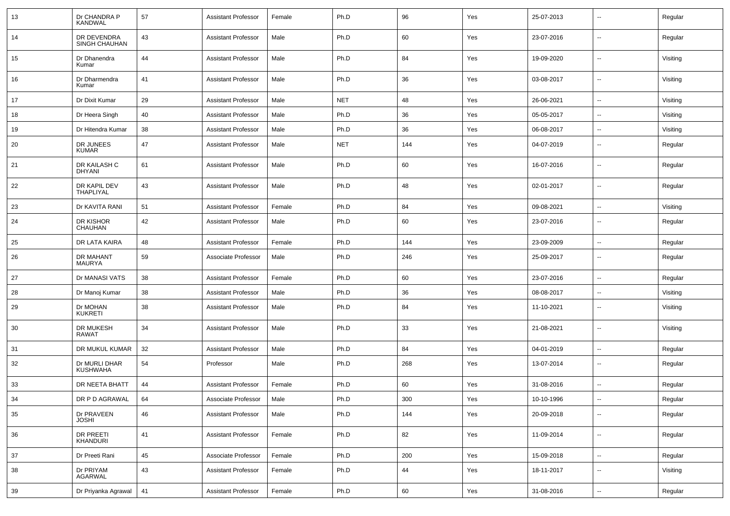| 13 | Dr CHANDRA P<br><b>KANDWAL</b>   | 57 | <b>Assistant Professor</b> | Female | Ph.D       | 96     | Yes | 25-07-2013 | --                       | Regular  |
|----|----------------------------------|----|----------------------------|--------|------------|--------|-----|------------|--------------------------|----------|
| 14 | DR DEVENDRA<br>SINGH CHAUHAN     | 43 | <b>Assistant Professor</b> | Male   | Ph.D       | 60     | Yes | 23-07-2016 | $\sim$                   | Regular  |
| 15 | Dr Dhanendra<br>Kumar            | 44 | <b>Assistant Professor</b> | Male   | Ph.D       | 84     | Yes | 19-09-2020 | $\overline{\phantom{a}}$ | Visiting |
| 16 | Dr Dharmendra<br>Kumar           | 41 | <b>Assistant Professor</b> | Male   | Ph.D       | 36     | Yes | 03-08-2017 | $\sim$                   | Visiting |
| 17 | Dr Dixit Kumar                   | 29 | <b>Assistant Professor</b> | Male   | <b>NET</b> | 48     | Yes | 26-06-2021 | $\sim$                   | Visiting |
| 18 | Dr Heera Singh                   | 40 | <b>Assistant Professor</b> | Male   | Ph.D       | 36     | Yes | 05-05-2017 | ۰.                       | Visiting |
| 19 | Dr Hitendra Kumar                | 38 | <b>Assistant Professor</b> | Male   | Ph.D       | 36     | Yes | 06-08-2017 | $\overline{a}$           | Visiting |
| 20 | DR JUNEES<br><b>KUMAR</b>        | 47 | <b>Assistant Professor</b> | Male   | <b>NET</b> | 144    | Yes | 04-07-2019 | --                       | Regular  |
| 21 | DR KAILASH C<br><b>DHYANI</b>    | 61 | <b>Assistant Professor</b> | Male   | Ph.D       | 60     | Yes | 16-07-2016 | --                       | Regular  |
| 22 | DR KAPIL DEV<br>THAPLIYAL        | 43 | <b>Assistant Professor</b> | Male   | Ph.D       | 48     | Yes | 02-01-2017 | --                       | Regular  |
| 23 | Dr KAVITA RANI                   | 51 | <b>Assistant Professor</b> | Female | Ph.D       | 84     | Yes | 09-08-2021 | $\overline{\phantom{a}}$ | Visiting |
| 24 | DR KISHOR<br>CHAUHAN             | 42 | <b>Assistant Professor</b> | Male   | Ph.D       | 60     | Yes | 23-07-2016 | --                       | Regular  |
| 25 | DR LATA KAIRA                    | 48 | <b>Assistant Professor</b> | Female | Ph.D       | 144    | Yes | 23-09-2009 | Ξ.                       | Regular  |
| 26 | DR MAHANT<br><b>MAURYA</b>       | 59 | Associate Professor        | Male   | Ph.D       | 246    | Yes | 25-09-2017 | $\overline{\phantom{a}}$ | Regular  |
| 27 | Dr MANASI VATS                   | 38 | <b>Assistant Professor</b> | Female | Ph.D       | 60     | Yes | 23-07-2016 | $\sim$                   | Regular  |
| 28 | Dr Manoj Kumar                   | 38 | <b>Assistant Professor</b> | Male   | Ph.D       | 36     | Yes | 08-08-2017 | $\sim$                   | Visiting |
| 29 | Dr MOHAN<br><b>KUKRETI</b>       | 38 | <b>Assistant Professor</b> | Male   | Ph.D       | 84     | Yes | 11-10-2021 | ۰.                       | Visiting |
| 30 | DR MUKESH<br><b>RAWAT</b>        | 34 | <b>Assistant Professor</b> | Male   | Ph.D       | 33     | Yes | 21-08-2021 | $\overline{\phantom{a}}$ | Visiting |
| 31 | DR MUKUL KUMAR                   | 32 | <b>Assistant Professor</b> | Male   | Ph.D       | 84     | Yes | 04-01-2019 | --                       | Regular  |
| 32 | Dr MURLI DHAR<br><b>KUSHWAHA</b> | 54 | Professor                  | Male   | Ph.D       | 268    | Yes | 13-07-2014 | --                       | Regular  |
| 33 | DR NEETA BHATT                   | 44 | <b>Assistant Professor</b> | Female | Ph.D       | 60     | Yes | 31-08-2016 | --                       | Regular  |
| 34 | DR P D AGRAWAL                   | 64 | Associate Professor        | Male   | Ph.D       | 300    | Yes | 10-10-1996 |                          | Regular  |
| 35 | Dr PRAVEEN<br><b>JOSHI</b>       | 46 | <b>Assistant Professor</b> | Male   | Ph.D       | 144    | Yes | 20-09-2018 | $\sim$                   | Regular  |
| 36 | DR PREETI<br>KHANDURI            | 41 | <b>Assistant Professor</b> | Female | Ph.D       | 82     | Yes | 11-09-2014 | $\overline{\phantom{a}}$ | Regular  |
| 37 | Dr Preeti Rani                   | 45 | Associate Professor        | Female | Ph.D       | 200    | Yes | 15-09-2018 | $\sim$                   | Regular  |
| 38 | Dr PRIYAM<br>AGARWAL             | 43 | <b>Assistant Professor</b> | Female | Ph.D       | 44     | Yes | 18-11-2017 | $\sim$                   | Visiting |
| 39 | Dr Priyanka Agrawal              | 41 | <b>Assistant Professor</b> | Female | Ph.D       | $60\,$ | Yes | 31-08-2016 | $\sim$                   | Regular  |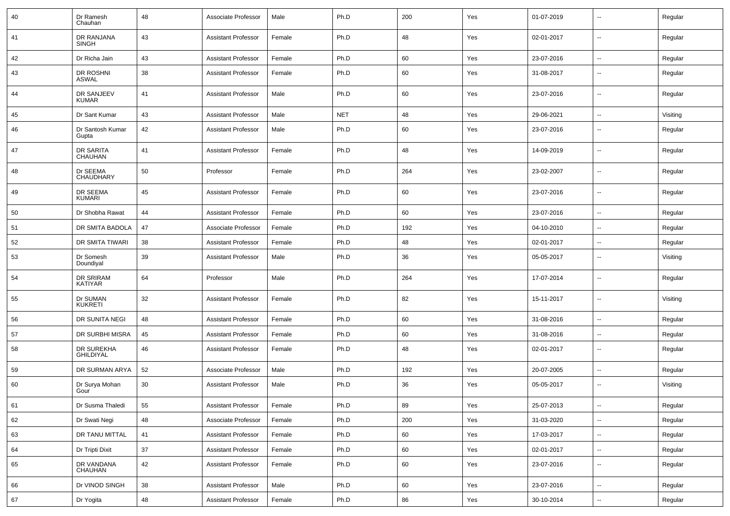| 40 | Dr Ramesh<br>Chauhan           | 48 | Associate Professor        | Male   | Ph.D       | 200 | Yes | 01-07-2019 | $\mathbf{u}$             | Regular  |
|----|--------------------------------|----|----------------------------|--------|------------|-----|-----|------------|--------------------------|----------|
| 41 | DR RANJANA<br><b>SINGH</b>     | 43 | <b>Assistant Professor</b> | Female | Ph.D       | 48  | Yes | 02-01-2017 | $\sim$                   | Regular  |
| 42 | Dr Richa Jain                  | 43 | <b>Assistant Professor</b> | Female | Ph.D       | 60  | Yes | 23-07-2016 | $\sim$                   | Regular  |
| 43 | DR ROSHNI<br><b>ASWAL</b>      | 38 | Assistant Professor        | Female | Ph.D       | 60  | Yes | 31-08-2017 | $\sim$                   | Regular  |
| 44 | DR SANJEEV<br><b>KUMAR</b>     | 41 | Assistant Professor        | Male   | Ph.D       | 60  | Yes | 23-07-2016 | $\mathbf{u}$             | Regular  |
| 45 | Dr Sant Kumar                  | 43 | <b>Assistant Professor</b> | Male   | <b>NET</b> | 48  | Yes | 29-06-2021 | $\sim$                   | Visiting |
| 46 | Dr Santosh Kumar<br>Gupta      | 42 | <b>Assistant Professor</b> | Male   | Ph.D       | 60  | Yes | 23-07-2016 | $\overline{\phantom{a}}$ | Regular  |
| 47 | DR SARITA<br><b>CHAUHAN</b>    | 41 | Assistant Professor        | Female | Ph.D       | 48  | Yes | 14-09-2019 | $\overline{\phantom{a}}$ | Regular  |
| 48 | Dr SEEMA<br>CHAUDHARY          | 50 | Professor                  | Female | Ph.D       | 264 | Yes | 23-02-2007 | $\mathbf{u}$             | Regular  |
| 49 | DR SEEMA<br><b>KUMARI</b>      | 45 | Assistant Professor        | Female | Ph.D       | 60  | Yes | 23-07-2016 | $\sim$                   | Regular  |
| 50 | Dr Shobha Rawat                | 44 | Assistant Professor        | Female | Ph.D       | 60  | Yes | 23-07-2016 | $\overline{\phantom{a}}$ | Regular  |
| 51 | DR SMITA BADOLA                | 47 | Associate Professor        | Female | Ph.D       | 192 | Yes | 04-10-2010 | $\overline{\phantom{a}}$ | Regular  |
| 52 | DR SMITA TIWARI                | 38 | Assistant Professor        | Female | Ph.D       | 48  | Yes | 02-01-2017 | $\sim$                   | Regular  |
| 53 | Dr Somesh<br>Doundiyal         | 39 | Assistant Professor        | Male   | Ph.D       | 36  | Yes | 05-05-2017 | $\overline{\phantom{a}}$ | Visiting |
| 54 | <b>DR SRIRAM</b><br>KATIYAR    | 64 | Professor                  | Male   | Ph.D       | 264 | Yes | 17-07-2014 | $\overline{\phantom{a}}$ | Regular  |
| 55 | Dr SUMAN<br><b>KUKRETI</b>     | 32 | <b>Assistant Professor</b> | Female | Ph.D       | 82  | Yes | 15-11-2017 | --                       | Visiting |
| 56 | DR SUNITA NEGI                 | 48 | Assistant Professor        | Female | Ph.D       | 60  | Yes | 31-08-2016 |                          | Regular  |
| 57 | DR SURBHI MISRA                | 45 | <b>Assistant Professor</b> | Female | Ph.D       | 60  | Yes | 31-08-2016 | $\sim$                   | Regular  |
| 58 | DR SUREKHA<br><b>GHILDIYAL</b> | 46 | Assistant Professor        | Female | Ph.D       | 48  | Yes | 02-01-2017 | $\sim$                   | Regular  |
| 59 | DR SURMAN ARYA                 | 52 | Associate Professor        | Male   | Ph.D       | 192 | Yes | 20-07-2005 | $\sim$                   | Regular  |
| 60 | Dr Surya Mohan<br>Gour         | 30 | <b>Assistant Professor</b> | Male   | Ph.D       | 36  | Yes | 05-05-2017 | $\overline{\phantom{a}}$ | Visiting |
| 61 | Dr Susma Thaledi               | 55 | <b>Assistant Professor</b> | Female | Ph.D       | 89  | Yes | 25-07-2013 | $\overline{\phantom{a}}$ | Regular  |
| 62 | Dr Swati Negi                  | 48 | Associate Professor        | Female | Ph.D       | 200 | Yes | 31-03-2020 | $\overline{\phantom{a}}$ | Regular  |
| 63 | DR TANU MITTAL                 | 41 | <b>Assistant Professor</b> | Female | Ph.D       | 60  | Yes | 17-03-2017 | $\sim$                   | Regular  |
| 64 | Dr Tripti Dixit                | 37 | <b>Assistant Professor</b> | Female | Ph.D       | 60  | Yes | 02-01-2017 | $\overline{\phantom{a}}$ | Regular  |
| 65 | DR VANDANA<br>CHAUHAN          | 42 | <b>Assistant Professor</b> | Female | Ph.D       | 60  | Yes | 23-07-2016 | $\sim$                   | Regular  |
| 66 | Dr VINOD SINGH                 | 38 | Assistant Professor        | Male   | Ph.D       | 60  | Yes | 23-07-2016 | $\sim$                   | Regular  |
| 67 | Dr Yogita                      | 48 | Assistant Professor        | Female | Ph.D       | 86  | Yes | 30-10-2014 | $\overline{\phantom{a}}$ | Regular  |